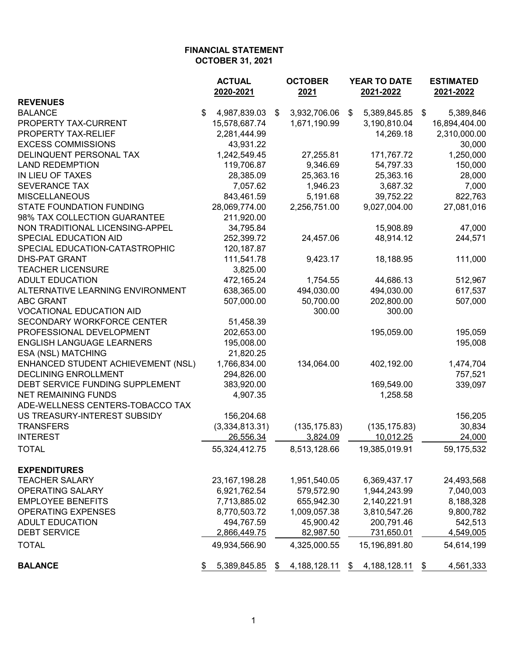|                                    | <b>ACTUAL</b><br>2020-2021 | <b>OCTOBER</b><br>2021 | YEAR TO DATE<br>2021-2022 |               |    | <b>ESTIMATED</b><br>2021-2022 |  |
|------------------------------------|----------------------------|------------------------|---------------------------|---------------|----|-------------------------------|--|
| <b>REVENUES</b>                    |                            |                        |                           |               |    |                               |  |
| <b>BALANCE</b>                     | \$<br>4,987,839.03         | \$<br>3,932,706.06     | \$                        | 5,389,845.85  | \$ | 5,389,846                     |  |
| PROPERTY TAX-CURRENT               | 15,578,687.74              | 1,671,190.99           |                           | 3,190,810.04  |    | 16,894,404.00                 |  |
| PROPERTY TAX-RELIEF                | 2,281,444.99               |                        |                           | 14,269.18     |    | 2,310,000.00                  |  |
| <b>EXCESS COMMISSIONS</b>          | 43,931.22                  |                        |                           |               |    | 30,000                        |  |
| DELINQUENT PERSONAL TAX            | 1,242,549.45               | 27,255.81              |                           | 171,767.72    |    | 1,250,000                     |  |
| <b>LAND REDEMPTION</b>             | 119,706.87                 | 9,346.69               |                           | 54,797.33     |    | 150,000                       |  |
| IN LIEU OF TAXES                   | 28,385.09                  | 25,363.16              |                           | 25,363.16     |    | 28,000                        |  |
| <b>SEVERANCE TAX</b>               | 7,057.62                   | 1,946.23               |                           | 3,687.32      |    | 7,000                         |  |
| <b>MISCELLANEOUS</b>               | 843,461.59                 | 5,191.68               |                           | 39,752.22     |    | 822,763                       |  |
| <b>STATE FOUNDATION FUNDING</b>    | 28,069,774.00              | 2,256,751.00           |                           | 9,027,004.00  |    | 27,081,016                    |  |
| 98% TAX COLLECTION GUARANTEE       | 211,920.00                 |                        |                           |               |    |                               |  |
| NON TRADITIONAL LICENSING-APPEL    | 34,795.84                  |                        |                           | 15,908.89     |    | 47,000                        |  |
| SPECIAL EDUCATION AID              | 252,399.72                 | 24,457.06              |                           | 48,914.12     |    | 244,571                       |  |
| SPECIAL EDUCATION-CATASTROPHIC     | 120,187.87                 |                        |                           |               |    |                               |  |
| <b>DHS-PAT GRANT</b>               | 111,541.78                 | 9,423.17               |                           | 18,188.95     |    | 111,000                       |  |
| <b>TEACHER LICENSURE</b>           | 3,825.00                   |                        |                           |               |    |                               |  |
| <b>ADULT EDUCATION</b>             | 472,165.24                 | 1,754.55               |                           | 44,686.13     |    | 512,967                       |  |
| ALTERNATIVE LEARNING ENVIRONMENT   | 638,365.00                 | 494,030.00             |                           | 494,030.00    |    | 617,537                       |  |
| <b>ABC GRANT</b>                   | 507,000.00                 | 50,700.00              |                           | 202,800.00    |    | 507,000                       |  |
| <b>VOCATIONAL EDUCATION AID</b>    |                            | 300.00                 |                           | 300.00        |    |                               |  |
| SECONDARY WORKFORCE CENTER         | 51,458.39                  |                        |                           |               |    |                               |  |
| PROFESSIONAL DEVELOPMENT           | 202,653.00                 |                        |                           | 195,059.00    |    | 195,059                       |  |
| <b>ENGLISH LANGUAGE LEARNERS</b>   | 195,008.00                 |                        |                           |               |    | 195,008                       |  |
| ESA (NSL) MATCHING                 | 21,820.25                  |                        |                           |               |    |                               |  |
| ENHANCED STUDENT ACHIEVEMENT (NSL) | 1,766,834.00               | 134,064.00             |                           | 402,192.00    |    | 1,474,704                     |  |
| <b>DECLINING ENROLLMENT</b>        | 294,826.00                 |                        |                           |               |    | 757,521                       |  |
| DEBT SERVICE FUNDING SUPPLEMENT    | 383,920.00                 |                        |                           | 169,549.00    |    | 339,097                       |  |
| <b>NET REMAINING FUNDS</b>         | 4,907.35                   |                        |                           | 1,258.58      |    |                               |  |
| ADE-WELLNESS CENTERS-TOBACCO TAX   |                            |                        |                           |               |    |                               |  |
| US TREASURY-INTEREST SUBSIDY       | 156,204.68                 |                        |                           |               |    | 156,205                       |  |
| <b>TRANSFERS</b>                   | (3,334,813.31)             | (135, 175.83)          |                           | (135, 175.83) |    | 30,834                        |  |
| <b>INTEREST</b>                    | 26,556.34                  | 3,824.09               |                           | 10,012.25     |    | 24,000                        |  |
| <b>TOTAL</b>                       | 55,324,412.75              | 8,513,128.66           |                           | 19,385,019.91 |    | 59,175,532                    |  |
|                                    |                            |                        |                           |               |    |                               |  |
| <b>EXPENDITURES</b>                |                            |                        |                           |               |    |                               |  |
| <b>TEACHER SALARY</b>              | 23, 167, 198. 28           | 1,951,540.05           |                           | 6,369,437.17  |    | 24,493,568                    |  |
| OPERATING SALARY                   | 6,921,762.54               | 579,572.90             |                           | 1,944,243.99  |    | 7,040,003                     |  |
| <b>EMPLOYEE BENEFITS</b>           | 7,713,885.02               | 655,942.30             |                           | 2,140,221.91  |    | 8,188,328                     |  |
| <b>OPERATING EXPENSES</b>          | 8,770,503.72               | 1,009,057.38           |                           | 3,810,547.26  |    | 9,800,782                     |  |
| <b>ADULT EDUCATION</b>             | 494,767.59                 | 45,900.42              |                           | 200,791.46    |    | 542,513                       |  |
| <b>DEBT SERVICE</b>                | 2,866,449.75               | 82,987.50              |                           | 731,650.01    |    | 4,549,005                     |  |
|                                    |                            |                        |                           |               |    |                               |  |
| <b>TOTAL</b>                       | 49,934,566.90              | 4,325,000.55           |                           | 15,196,891.80 |    | 54,614,199                    |  |
| <b>BALANCE</b>                     | 5,389,845.85               | \$<br>4, 188, 128. 11  | \$                        | 4,188,128.11  | \$ | 4,561,333                     |  |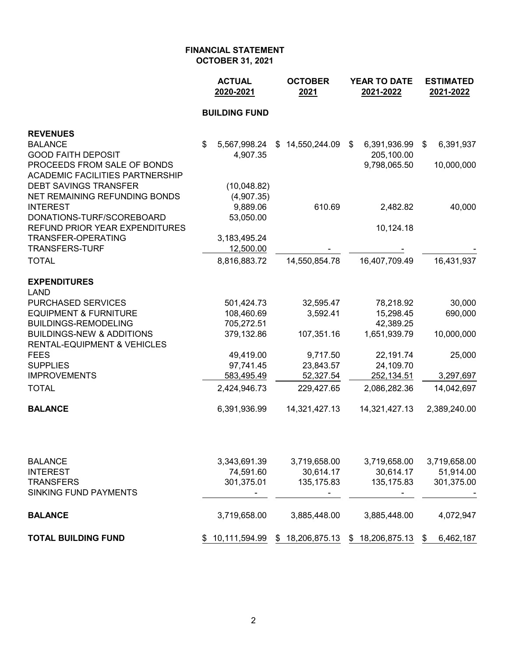|                                                    | <b>ACTUAL</b><br>2020-2021 | <b>OCTOBER</b><br>2021 | <b>YEAR TO DATE</b><br>2021-2022 | <b>ESTIMATED</b><br>2021-2022 |  |
|----------------------------------------------------|----------------------------|------------------------|----------------------------------|-------------------------------|--|
|                                                    | <b>BUILDING FUND</b>       |                        |                                  |                               |  |
| <b>REVENUES</b>                                    |                            |                        |                                  |                               |  |
| <b>BALANCE</b>                                     | \$<br>5,567,998.24         | \$14,550,244.09        | 6,391,936.99<br>\$               | 6,391,937<br>\$               |  |
| <b>GOOD FAITH DEPOSIT</b>                          | 4,907.35                   |                        | 205,100.00                       |                               |  |
| PROCEEDS FROM SALE OF BONDS                        |                            |                        | 9,798,065.50                     | 10,000,000                    |  |
| <b>ACADEMIC FACILITIES PARTNERSHIP</b>             |                            |                        |                                  |                               |  |
| <b>DEBT SAVINGS TRANSFER</b>                       | (10,048.82)                |                        |                                  |                               |  |
| NET REMAINING REFUNDING BONDS                      | (4,907.35)                 |                        |                                  |                               |  |
| <b>INTEREST</b>                                    | 9,889.06                   | 610.69                 | 2,482.82                         | 40,000                        |  |
| DONATIONS-TURF/SCOREBOARD                          | 53,050.00                  |                        |                                  |                               |  |
| REFUND PRIOR YEAR EXPENDITURES                     |                            |                        | 10,124.18                        |                               |  |
| <b>TRANSFER-OPERATING</b><br><b>TRANSFERS-TURF</b> | 3,183,495.24<br>12,500.00  |                        |                                  |                               |  |
|                                                    |                            |                        |                                  |                               |  |
| <b>TOTAL</b>                                       | 8,816,883.72               | 14,550,854.78          | 16,407,709.49                    | 16,431,937                    |  |
| <b>EXPENDITURES</b>                                |                            |                        |                                  |                               |  |
| <b>LAND</b>                                        |                            |                        |                                  |                               |  |
| PURCHASED SERVICES                                 | 501,424.73                 | 32,595.47              | 78,218.92                        | 30,000                        |  |
| <b>EQUIPMENT &amp; FURNITURE</b>                   | 108,460.69                 | 3,592.41               | 15,298.45                        | 690,000                       |  |
| <b>BUILDINGS-REMODELING</b>                        | 705,272.51                 |                        | 42,389.25                        |                               |  |
| <b>BUILDINGS-NEW &amp; ADDITIONS</b>               | 379,132.86                 | 107,351.16             | 1,651,939.79                     | 10,000,000                    |  |
| <b>RENTAL-EQUIPMENT &amp; VEHICLES</b>             |                            |                        |                                  |                               |  |
| <b>FEES</b>                                        | 49,419.00                  | 9,717.50               | 22,191.74                        | 25,000                        |  |
| <b>SUPPLIES</b>                                    | 97,741.45                  | 23,843.57              | 24,109.70                        |                               |  |
| <b>IMPROVEMENTS</b>                                | 583,495.49                 | 52,327.54              | 252,134.51                       | 3,297,697                     |  |
| <b>TOTAL</b>                                       | 2,424,946.73               | 229,427.65             | 2,086,282.36                     | 14,042,697                    |  |
| <b>BALANCE</b>                                     | 6,391,936.99               | 14,321,427.13          | 14,321,427.13                    | 2,389,240.00                  |  |
|                                                    |                            |                        |                                  |                               |  |
| <b>BALANCE</b>                                     | 3,343,691.39               | 3,719,658.00           | 3,719,658.00                     | 3,719,658.00                  |  |
| <b>INTEREST</b>                                    | 74,591.60                  | 30,614.17              | 30,614.17                        | 51,914.00                     |  |
| <b>TRANSFERS</b>                                   | 301,375.01                 | 135, 175.83            | 135, 175.83                      | 301,375.00                    |  |
| <b>SINKING FUND PAYMENTS</b>                       |                            |                        |                                  |                               |  |
| <b>BALANCE</b>                                     | 3,719,658.00               | 3,885,448.00           | 3,885,448.00                     | 4,072,947                     |  |
| <b>TOTAL BUILDING FUND</b>                         | 10,111,594.99<br>\$        | \$18,206,875.13        | \$18,206,875.13                  | 6,462,187<br>\$               |  |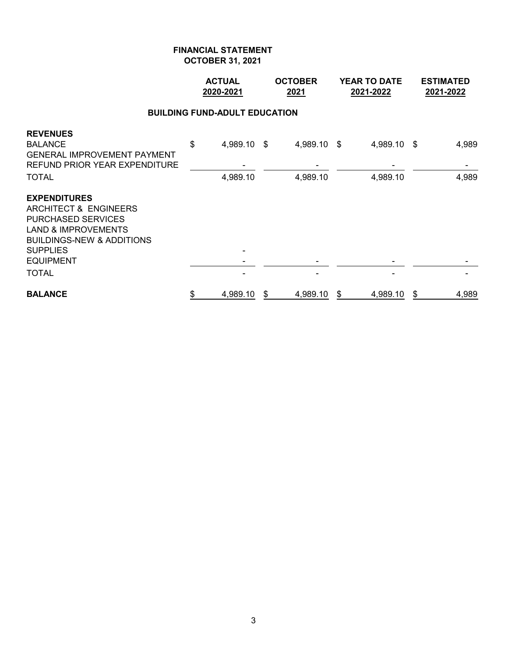|                                                                                                                                                                                                            | <b>ACTUAL</b><br>2020-2021 |                                      |    | <b>OCTOBER</b><br>2021  | <b>YEAR TO DATE</b><br>2021-2022 |                         |    | <b>ESTIMATED</b><br>2021-2022 |
|------------------------------------------------------------------------------------------------------------------------------------------------------------------------------------------------------------|----------------------------|--------------------------------------|----|-------------------------|----------------------------------|-------------------------|----|-------------------------------|
|                                                                                                                                                                                                            |                            | <b>BUILDING FUND-ADULT EDUCATION</b> |    |                         |                                  |                         |    |                               |
| <b>REVENUES</b><br><b>BALANCE</b><br><b>GENERAL IMPROVEMENT PAYMENT</b><br>REFUND PRIOR YEAR EXPENDITURE<br><b>TOTAL</b>                                                                                   | \$                         | 4,989.10 \$<br>4,989.10              |    | 4,989.10 \$<br>4,989.10 |                                  | 4,989.10 \$<br>4,989.10 |    | 4,989<br>4,989                |
| <b>EXPENDITURES</b><br>ARCHITECT & ENGINEERS<br><b>PURCHASED SERVICES</b><br><b>LAND &amp; IMPROVEMENTS</b><br><b>BUILDINGS-NEW &amp; ADDITIONS</b><br><b>SUPPLIES</b><br><b>EQUIPMENT</b><br><b>TOTAL</b> |                            |                                      |    |                         |                                  |                         |    |                               |
|                                                                                                                                                                                                            |                            |                                      |    |                         |                                  |                         |    |                               |
| <b>BALANCE</b>                                                                                                                                                                                             | \$                         | 4,989.10                             | \$ | 4,989.10                | \$                               | 4,989.10                | \$ | 4,989                         |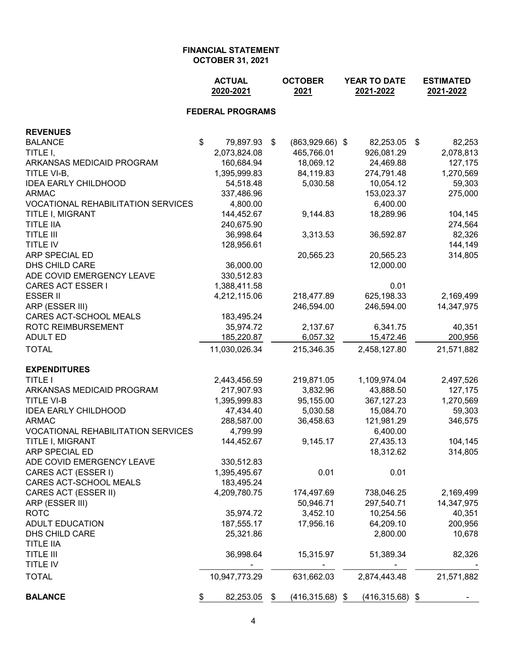|                                           | <b>ACTUAL</b><br>2020-2021             | <b>OCTOBER</b><br>2021  | <b>YEAR TO DATE</b><br>2021-2022 |                    |    | <b>ESTIMATED</b><br>2021-2022 |  |
|-------------------------------------------|----------------------------------------|-------------------------|----------------------------------|--------------------|----|-------------------------------|--|
|                                           | <b>FEDERAL PROGRAMS</b>                |                         |                                  |                    |    |                               |  |
| <b>REVENUES</b>                           |                                        |                         |                                  |                    |    |                               |  |
| <b>BALANCE</b>                            | $\boldsymbol{\mathsf{S}}$<br>79,897.93 | \$<br>$(863,929.66)$ \$ |                                  | 82,253.05          | \$ | 82,253                        |  |
| TITLE I,                                  | 2,073,824.08                           | 465,766.01              |                                  | 926,081.29         |    | 2,078,813                     |  |
| ARKANSAS MEDICAID PROGRAM                 | 160,684.94                             | 18,069.12               |                                  | 24,469.88          |    | 127,175                       |  |
| TITLE VI-B,                               | 1,395,999.83                           | 84,119.83               |                                  | 274,791.48         |    | 1,270,569                     |  |
| <b>IDEA EARLY CHILDHOOD</b>               | 54,518.48                              | 5,030.58                |                                  | 10,054.12          |    | 59,303                        |  |
| <b>ARMAC</b>                              | 337,486.96                             |                         |                                  | 153,023.37         |    | 275,000                       |  |
| <b>VOCATIONAL REHABILITATION SERVICES</b> | 4,800.00                               |                         |                                  | 6,400.00           |    |                               |  |
| TITLE I, MIGRANT                          | 144,452.67                             | 9,144.83                |                                  | 18,289.96          |    | 104,145                       |  |
| <b>TITLE IIA</b>                          | 240,675.90                             |                         |                                  |                    |    | 274,564                       |  |
| <b>TITLE III</b>                          | 36,998.64                              | 3,313.53                |                                  | 36,592.87          |    | 82,326                        |  |
| <b>TITLE IV</b>                           | 128,956.61                             |                         |                                  |                    |    | 144,149                       |  |
| ARP SPECIAL ED                            |                                        | 20,565.23               |                                  | 20,565.23          |    | 314,805                       |  |
| DHS CHILD CARE                            | 36,000.00                              |                         |                                  | 12,000.00          |    |                               |  |
| ADE COVID EMERGENCY LEAVE                 | 330,512.83                             |                         |                                  |                    |    |                               |  |
| <b>CARES ACT ESSER I</b>                  | 1,388,411.58                           |                         |                                  | 0.01               |    |                               |  |
| <b>ESSER II</b>                           | 4,212,115.06                           | 218,477.89              |                                  | 625,198.33         |    | 2,169,499                     |  |
| ARP (ESSER III)                           |                                        | 246,594.00              |                                  | 246,594.00         |    | 14,347,975                    |  |
| CARES ACT-SCHOOL MEALS                    | 183,495.24                             |                         |                                  |                    |    |                               |  |
| ROTC REIMBURSEMENT                        | 35,974.72                              | 2,137.67                |                                  | 6,341.75           |    | 40,351                        |  |
| <b>ADULT ED</b>                           | 185,220.87                             | 6,057.32                |                                  | 15,472.46          |    | 200,956                       |  |
| <b>TOTAL</b>                              | 11,030,026.34                          | 215,346.35              |                                  | 2,458,127.80       |    | 21,571,882                    |  |
| <b>EXPENDITURES</b>                       |                                        |                         |                                  |                    |    |                               |  |
| <b>TITLE I</b>                            | 2,443,456.59                           | 219,871.05              |                                  | 1,109,974.04       |    | 2,497,526                     |  |
| ARKANSAS MEDICAID PROGRAM                 | 217,907.93                             | 3,832.96                |                                  | 43,888.50          |    | 127,175                       |  |
| <b>TITLE VI-B</b>                         | 1,395,999.83                           | 95,155.00               |                                  | 367,127.23         |    | 1,270,569                     |  |
| <b>IDEA EARLY CHILDHOOD</b>               | 47,434.40                              | 5,030.58                |                                  | 15,084.70          |    | 59,303                        |  |
| <b>ARMAC</b>                              | 288,587.00                             | 36,458.63               |                                  | 121,981.29         |    | 346,575                       |  |
| VOCATIONAL REHABILITATION SERVICES        | 4,799.99                               |                         |                                  | 6,400.00           |    |                               |  |
| TITLE I, MIGRANT                          | 144,452.67                             | 9,145.17                |                                  | 27,435.13          |    | 104,145                       |  |
| ARP SPECIAL ED                            |                                        |                         |                                  | 18,312.62          |    | 314,805                       |  |
| ADE COVID EMERGENCY LEAVE                 | 330,512.83                             |                         |                                  |                    |    |                               |  |
| CARES ACT (ESSER I)                       | 1,395,495.67                           | 0.01                    |                                  | 0.01               |    |                               |  |
| CARES ACT-SCHOOL MEALS                    | 183,495.24                             |                         |                                  |                    |    |                               |  |
| CARES ACT (ESSER II)                      | 4,209,780.75                           | 174,497.69              |                                  | 738,046.25         |    | 2,169,499                     |  |
| ARP (ESSER III)                           |                                        | 50,946.71               |                                  | 297,540.71         |    | 14,347,975                    |  |
| <b>ROTC</b>                               | 35,974.72                              | 3,452.10                |                                  | 10,254.56          |    | 40,351                        |  |
| <b>ADULT EDUCATION</b>                    | 187,555.17                             | 17,956.16               |                                  | 64,209.10          |    | 200,956                       |  |
| DHS CHILD CARE                            | 25,321.86                              |                         |                                  | 2,800.00           |    | 10,678                        |  |
| <b>TITLE IIA</b>                          |                                        |                         |                                  |                    |    |                               |  |
| <b>TITLE III</b>                          | 36,998.64                              | 15,315.97               |                                  | 51,389.34          |    | 82,326                        |  |
| TITLE IV                                  |                                        |                         |                                  |                    |    |                               |  |
| <b>TOTAL</b>                              | 10,947,773.29                          | 631,662.03              |                                  | 2,874,443.48       |    | 21,571,882                    |  |
| <b>BALANCE</b>                            | 82,253.05<br>\$                        | \$<br>$(416,315.68)$ \$ |                                  | $(416, 315.68)$ \$ |    |                               |  |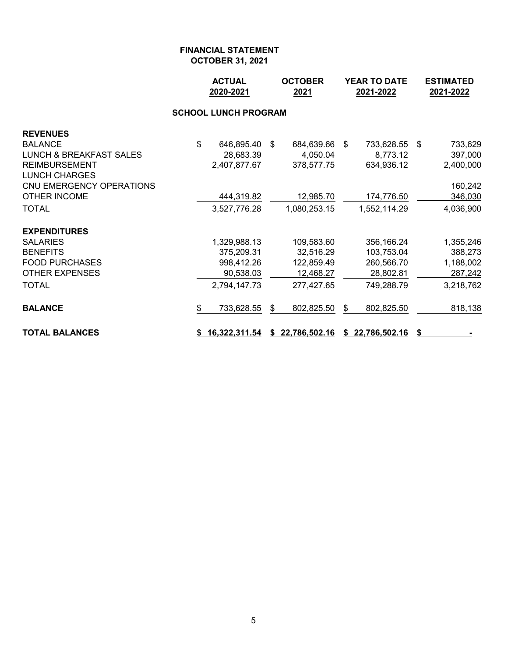|                                                                                                                             | <b>ACTUAL</b><br>2020-2021<br>2021                                    |    | <b>OCTOBER</b>                                                   | YEAR TO DATE<br>2021-2022 |                                                                   |      | <b>ESTIMATED</b><br>2021-2022                             |  |  |
|-----------------------------------------------------------------------------------------------------------------------------|-----------------------------------------------------------------------|----|------------------------------------------------------------------|---------------------------|-------------------------------------------------------------------|------|-----------------------------------------------------------|--|--|
|                                                                                                                             |                                                                       |    |                                                                  |                           |                                                                   |      |                                                           |  |  |
| <b>REVENUES</b><br><b>BALANCE</b><br><b>LUNCH &amp; BREAKFAST SALES</b><br><b>REIMBURSEMENT</b><br><b>LUNCH CHARGES</b>     | \$<br>646,895.40 \$<br>28,683.39<br>2,407,877.67                      |    | 684,639.66<br>4,050.04<br>378,577.75                             | -\$                       | 733,628.55<br>8,773.12<br>634,936.12                              | - \$ | 733,629<br>397,000<br>2,400,000                           |  |  |
| CNU EMERGENCY OPERATIONS<br><b>OTHER INCOME</b><br><b>TOTAL</b>                                                             | 444,319.82<br>3,527,776.28                                            |    | 12,985.70<br>1,080,253.15                                        |                           | 174,776.50<br>1,552,114.29                                        |      | 160,242<br>346,030<br>4,036,900                           |  |  |
| <b>EXPENDITURES</b><br><b>SALARIES</b><br><b>BENEFITS</b><br><b>FOOD PURCHASES</b><br><b>OTHER EXPENSES</b><br><b>TOTAL</b> | 1,329,988.13<br>375,209.31<br>998,412.26<br>90,538.03<br>2,794,147.73 |    | 109,583.60<br>32,516.29<br>122,859.49<br>12,468.27<br>277,427.65 |                           | 356,166.24<br>103,753.04<br>260,566.70<br>28,802.81<br>749,288.79 |      | 1,355,246<br>388,273<br>1,188,002<br>287,242<br>3,218,762 |  |  |
| <b>BALANCE</b><br><b>TOTAL BALANCES</b>                                                                                     | \$<br>733,628.55<br><u>16,322,311.54</u>                              | \$ | 802,825.50<br>\$22,786,502.16                                    | \$                        | 802,825.50<br>\$22,786,502.16                                     |      | 818,138                                                   |  |  |
|                                                                                                                             |                                                                       |    |                                                                  |                           |                                                                   |      |                                                           |  |  |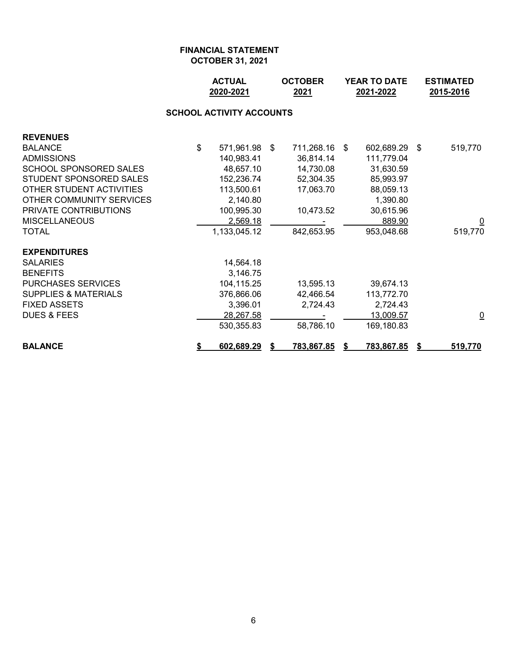|                                 |    | <b>ACTUAL</b><br><b>OCTOBER</b><br>2020-2021<br>2021 |  |                   | <b>YEAR TO DATE</b><br>2021-2022 |                   |     | <b>ESTIMATED</b><br>2015-2016 |  |  |  |  |  |
|---------------------------------|----|------------------------------------------------------|--|-------------------|----------------------------------|-------------------|-----|-------------------------------|--|--|--|--|--|
| <b>SCHOOL ACTIVITY ACCOUNTS</b> |    |                                                      |  |                   |                                  |                   |     |                               |  |  |  |  |  |
| <b>REVENUES</b>                 |    |                                                      |  |                   |                                  |                   |     |                               |  |  |  |  |  |
| <b>BALANCE</b>                  | \$ | 571,961.98 \$                                        |  | 711,268.16 \$     |                                  | 602,689.29        | -\$ | 519,770                       |  |  |  |  |  |
| <b>ADMISSIONS</b>               |    | 140,983.41                                           |  | 36,814.14         |                                  | 111,779.04        |     |                               |  |  |  |  |  |
| <b>SCHOOL SPONSORED SALES</b>   |    | 48,657.10                                            |  | 14,730.08         |                                  | 31,630.59         |     |                               |  |  |  |  |  |
| STUDENT SPONSORED SALES         |    | 152,236.74                                           |  | 52,304.35         |                                  | 85,993.97         |     |                               |  |  |  |  |  |
| OTHER STUDENT ACTIVITIES        |    | 113,500.61                                           |  | 17,063.70         |                                  | 88,059.13         |     |                               |  |  |  |  |  |
| OTHER COMMUNITY SERVICES        |    | 2,140.80                                             |  |                   |                                  | 1,390.80          |     |                               |  |  |  |  |  |
| PRIVATE CONTRIBUTIONS           |    | 100,995.30                                           |  | 10,473.52         |                                  | 30,615.96         |     |                               |  |  |  |  |  |
| <b>MISCELLANEOUS</b>            |    | 2,569.18                                             |  |                   |                                  | 889.90            |     | $\overline{\mathsf{C}}$       |  |  |  |  |  |
| <b>TOTAL</b>                    |    | 1,133,045.12                                         |  | 842,653.95        |                                  | 953,048.68        |     | 519,770                       |  |  |  |  |  |
| <b>EXPENDITURES</b>             |    |                                                      |  |                   |                                  |                   |     |                               |  |  |  |  |  |
| <b>SALARIES</b>                 |    | 14,564.18                                            |  |                   |                                  |                   |     |                               |  |  |  |  |  |
| <b>BENEFITS</b>                 |    | 3,146.75                                             |  |                   |                                  |                   |     |                               |  |  |  |  |  |
| <b>PURCHASES SERVICES</b>       |    | 104,115.25                                           |  | 13,595.13         |                                  | 39,674.13         |     |                               |  |  |  |  |  |
| <b>SUPPLIES &amp; MATERIALS</b> |    | 376,866.06                                           |  | 42,466.54         |                                  | 113,772.70        |     |                               |  |  |  |  |  |
| <b>FIXED ASSETS</b>             |    | 3,396.01                                             |  | 2,724.43          |                                  | 2,724.43          |     |                               |  |  |  |  |  |
| <b>DUES &amp; FEES</b>          |    | 28,267.58                                            |  |                   |                                  | 13,009.57         |     | $\overline{\mathsf{C}}$       |  |  |  |  |  |
|                                 |    | 530,355.83                                           |  | 58,786.10         |                                  | 169,180.83        |     |                               |  |  |  |  |  |
| <b>BALANCE</b>                  | \$ | 602,689.29                                           |  | <u>783,867.85</u> | \$                               | <u>783,867.85</u> | S   | 519,770                       |  |  |  |  |  |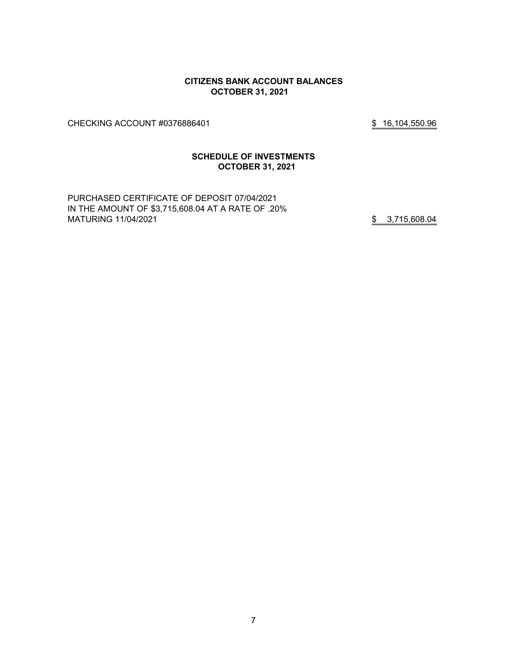#### **CITIZENS BANK ACCOUNT BALANCES OCTOBER 31, 2021**

CHECKING ACCOUNT #0376886401 \$ 16,104,550.96

## **SCHEDULE OF INVESTMENTS OCTOBER 31, 2021**

PURCHASED CERTIFICATE OF DEPOSIT 07/04/2021 IN THE AMOUNT OF \$3,715,608.04 AT A RATE OF .20% MATURING 11/04/2021 3,715,608.04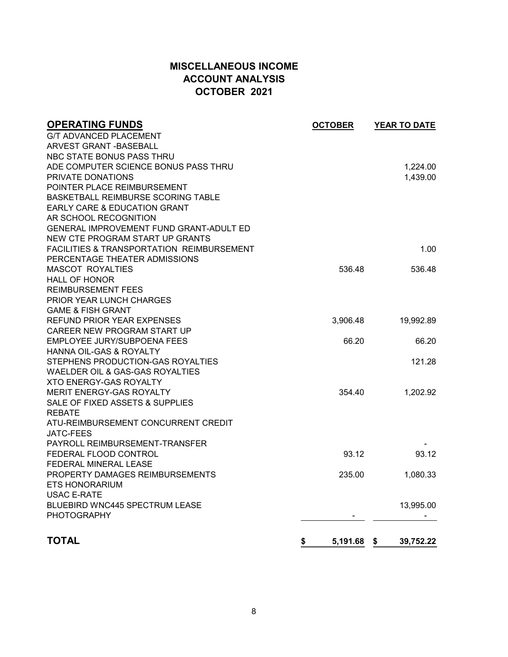# **MISCELLANEOUS INCOME ACCOUNT ANALYSIS OCTOBER 2021**

| <b>G/T ADVANCED PLACEMENT</b><br>ARVEST GRANT - BASEBALL<br>NBC STATE BONUS PASS THRU<br>ADE COMPUTER SCIENCE BONUS PASS THRU<br>1,224.00<br>PRIVATE DONATIONS<br>1,439.00<br>POINTER PLACE REIMBURSEMENT<br><b>BASKETBALL REIMBURSE SCORING TABLE</b><br>EARLY CARE & EDUCATION GRANT<br>AR SCHOOL RECOGNITION<br>GENERAL IMPROVEMENT FUND GRANT-ADULT ED<br>NEW CTE PROGRAM START UP GRANTS<br><b>FACILITIES &amp; TRANSPORTATION REIMBURSEMENT</b><br>1.00<br>PERCENTAGE THEATER ADMISSIONS<br><b>MASCOT ROYALTIES</b><br>536.48<br>536.48<br><b>HALL OF HONOR</b><br><b>REIMBURSEMENT FEES</b><br><b>PRIOR YEAR LUNCH CHARGES</b> |
|---------------------------------------------------------------------------------------------------------------------------------------------------------------------------------------------------------------------------------------------------------------------------------------------------------------------------------------------------------------------------------------------------------------------------------------------------------------------------------------------------------------------------------------------------------------------------------------------------------------------------------------|
|                                                                                                                                                                                                                                                                                                                                                                                                                                                                                                                                                                                                                                       |
|                                                                                                                                                                                                                                                                                                                                                                                                                                                                                                                                                                                                                                       |
|                                                                                                                                                                                                                                                                                                                                                                                                                                                                                                                                                                                                                                       |
|                                                                                                                                                                                                                                                                                                                                                                                                                                                                                                                                                                                                                                       |
|                                                                                                                                                                                                                                                                                                                                                                                                                                                                                                                                                                                                                                       |
|                                                                                                                                                                                                                                                                                                                                                                                                                                                                                                                                                                                                                                       |
|                                                                                                                                                                                                                                                                                                                                                                                                                                                                                                                                                                                                                                       |
|                                                                                                                                                                                                                                                                                                                                                                                                                                                                                                                                                                                                                                       |
|                                                                                                                                                                                                                                                                                                                                                                                                                                                                                                                                                                                                                                       |
|                                                                                                                                                                                                                                                                                                                                                                                                                                                                                                                                                                                                                                       |
|                                                                                                                                                                                                                                                                                                                                                                                                                                                                                                                                                                                                                                       |
|                                                                                                                                                                                                                                                                                                                                                                                                                                                                                                                                                                                                                                       |
|                                                                                                                                                                                                                                                                                                                                                                                                                                                                                                                                                                                                                                       |
|                                                                                                                                                                                                                                                                                                                                                                                                                                                                                                                                                                                                                                       |
|                                                                                                                                                                                                                                                                                                                                                                                                                                                                                                                                                                                                                                       |
|                                                                                                                                                                                                                                                                                                                                                                                                                                                                                                                                                                                                                                       |
|                                                                                                                                                                                                                                                                                                                                                                                                                                                                                                                                                                                                                                       |
| <b>GAME &amp; FISH GRANT</b>                                                                                                                                                                                                                                                                                                                                                                                                                                                                                                                                                                                                          |
| <b>REFUND PRIOR YEAR EXPENSES</b><br>3,906.48<br>19,992.89                                                                                                                                                                                                                                                                                                                                                                                                                                                                                                                                                                            |
| CAREER NEW PROGRAM START UP                                                                                                                                                                                                                                                                                                                                                                                                                                                                                                                                                                                                           |
| <b>EMPLOYEE JURY/SUBPOENA FEES</b><br>66.20<br>66.20                                                                                                                                                                                                                                                                                                                                                                                                                                                                                                                                                                                  |
| HANNA OIL-GAS & ROYALTY                                                                                                                                                                                                                                                                                                                                                                                                                                                                                                                                                                                                               |
| STEPHENS PRODUCTION-GAS ROYALTIES<br>121.28                                                                                                                                                                                                                                                                                                                                                                                                                                                                                                                                                                                           |
| WAELDER OIL & GAS-GAS ROYALTIES                                                                                                                                                                                                                                                                                                                                                                                                                                                                                                                                                                                                       |
| <b>XTO ENERGY-GAS ROYALTY</b>                                                                                                                                                                                                                                                                                                                                                                                                                                                                                                                                                                                                         |
| MERIT ENERGY-GAS ROYALTY<br>354.40<br>1,202.92                                                                                                                                                                                                                                                                                                                                                                                                                                                                                                                                                                                        |
| SALE OF FIXED ASSETS & SUPPLIES                                                                                                                                                                                                                                                                                                                                                                                                                                                                                                                                                                                                       |
| <b>REBATE</b>                                                                                                                                                                                                                                                                                                                                                                                                                                                                                                                                                                                                                         |
| ATU-REIMBURSEMENT CONCURRENT CREDIT                                                                                                                                                                                                                                                                                                                                                                                                                                                                                                                                                                                                   |
| <b>JATC-FEES</b>                                                                                                                                                                                                                                                                                                                                                                                                                                                                                                                                                                                                                      |
| PAYROLL REIMBURSEMENT-TRANSFER                                                                                                                                                                                                                                                                                                                                                                                                                                                                                                                                                                                                        |
| 93.12<br>FEDERAL FLOOD CONTROL<br>93.12                                                                                                                                                                                                                                                                                                                                                                                                                                                                                                                                                                                               |
| FEDERAL MINERAL LEASE                                                                                                                                                                                                                                                                                                                                                                                                                                                                                                                                                                                                                 |
| PROPERTY DAMAGES REIMBURSEMENTS<br>235.00<br>1,080.33                                                                                                                                                                                                                                                                                                                                                                                                                                                                                                                                                                                 |
| <b>ETS HONORARIUM</b>                                                                                                                                                                                                                                                                                                                                                                                                                                                                                                                                                                                                                 |
| <b>USAC E-RATE</b>                                                                                                                                                                                                                                                                                                                                                                                                                                                                                                                                                                                                                    |
| <b>BLUEBIRD WNC445 SPECTRUM LEASE</b><br>13,995.00                                                                                                                                                                                                                                                                                                                                                                                                                                                                                                                                                                                    |
| <b>PHOTOGRAPHY</b>                                                                                                                                                                                                                                                                                                                                                                                                                                                                                                                                                                                                                    |
| <b>TOTAL</b><br>\$<br>5,191.68<br>39,752.22<br>- \$                                                                                                                                                                                                                                                                                                                                                                                                                                                                                                                                                                                   |